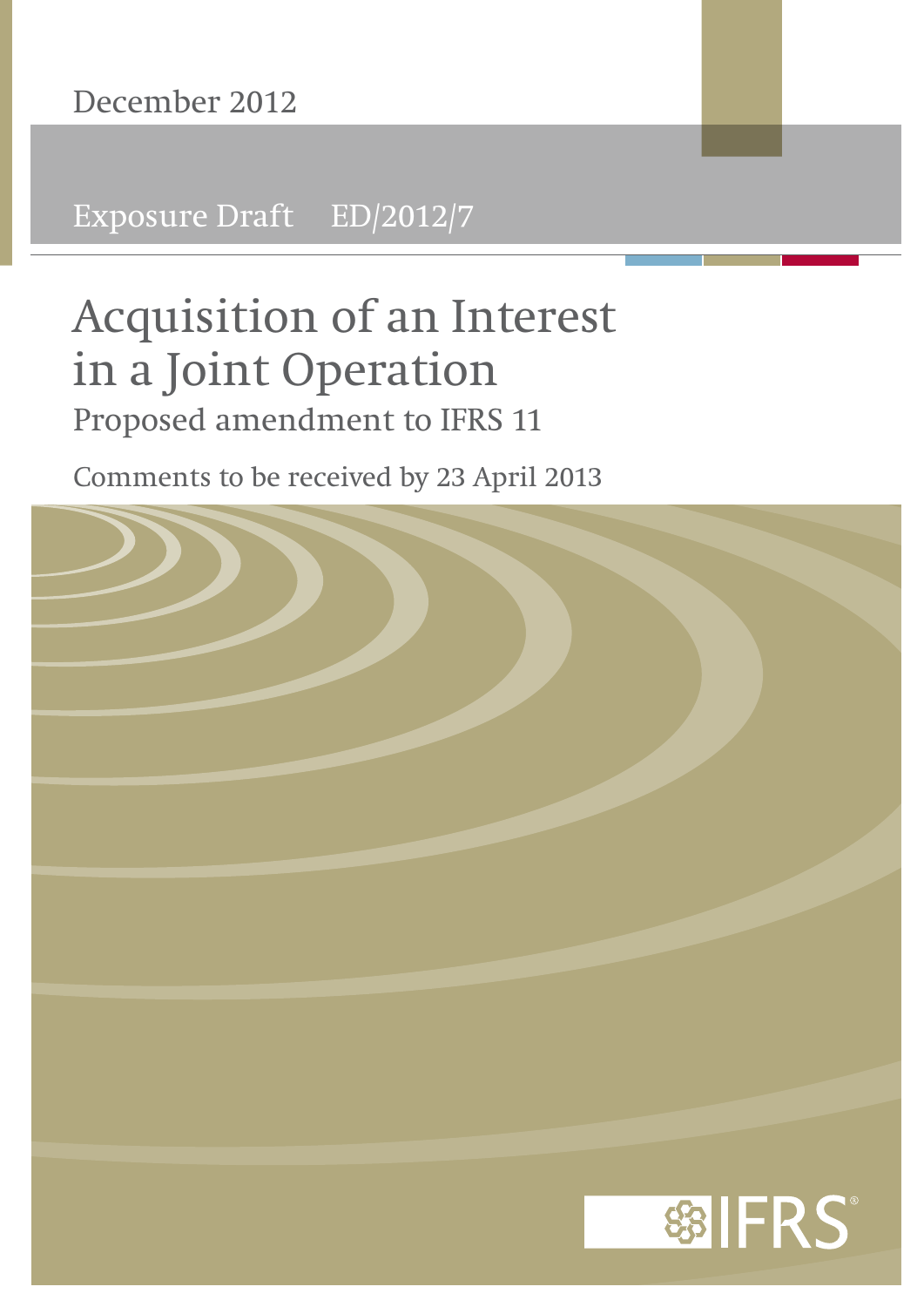Exposure Draft ED/2012/7

# **Acquisition of an Interest in a Joint Operation** Proposed amendment to IFRS 11

Comments to be received by 23 April 2013

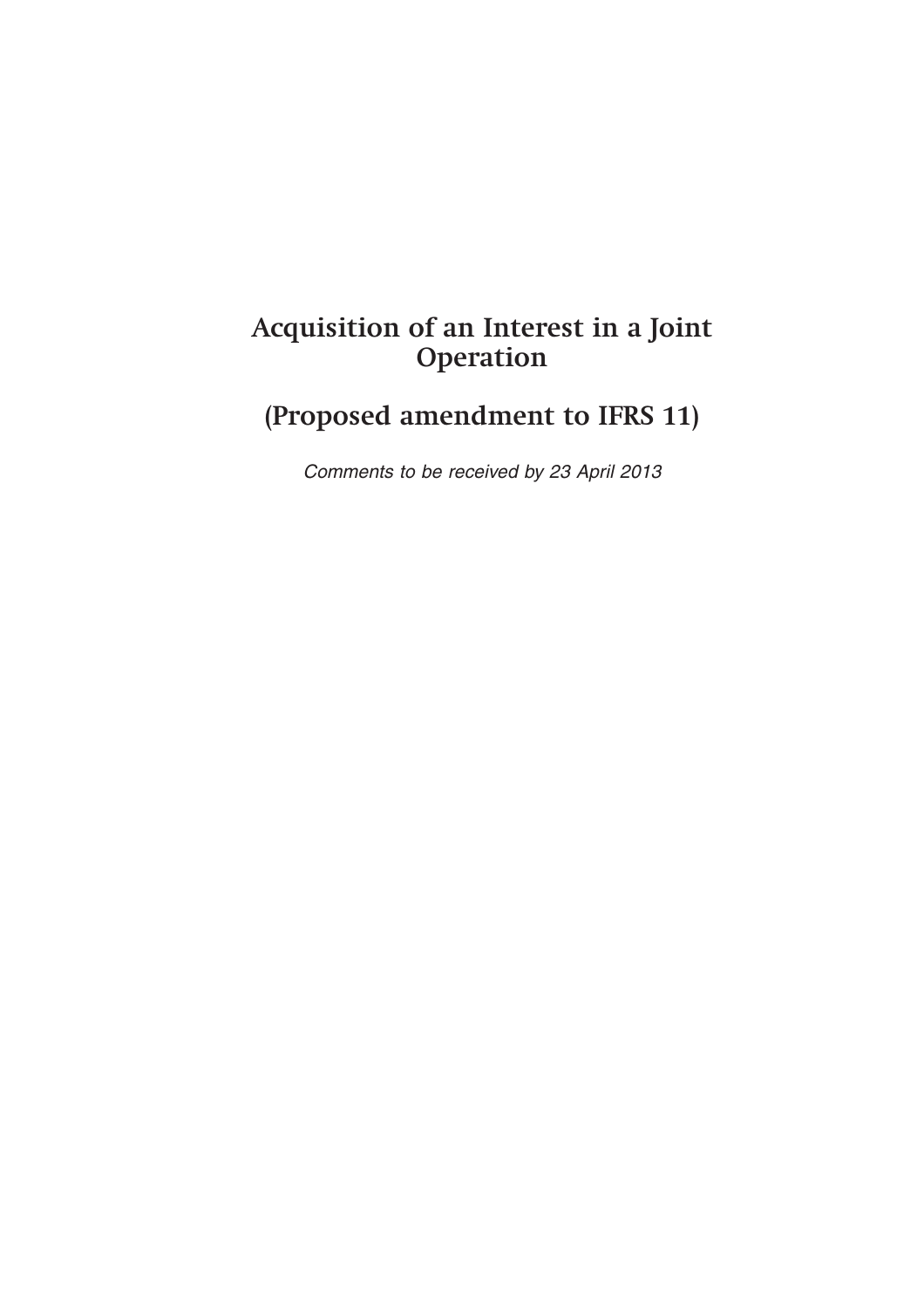# **Acquisition of an Interest in a Joint Operation**

# **(Proposed amendment to IFRS 11)**

*Comments to be received by 23 April 2013*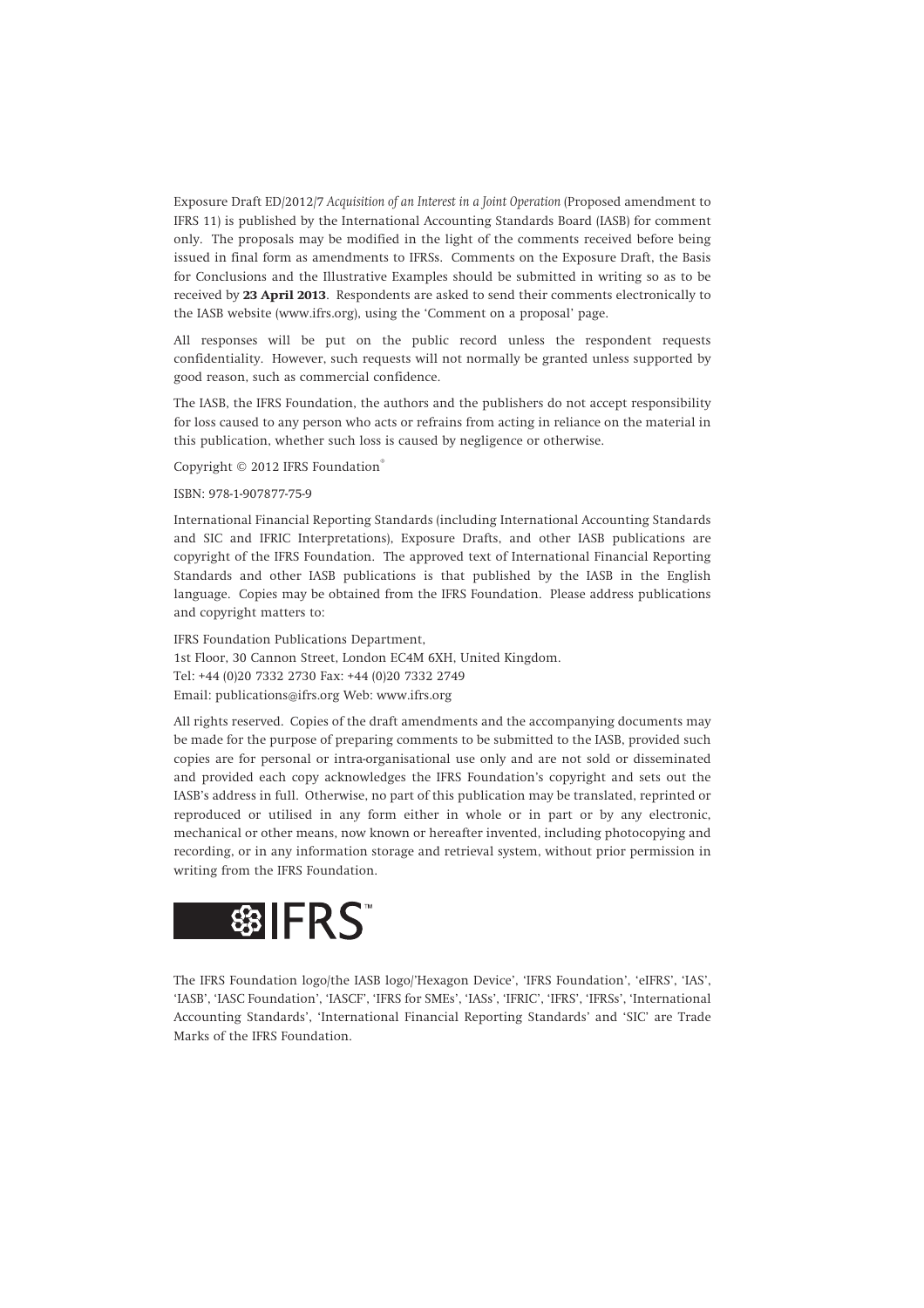Exposure Draft ED/2012/7 *Acquisition of an Interest in a Joint Operation* (Proposed amendment to IFRS 11) is published by the International Accounting Standards Board (IASB) for comment only. The proposals may be modified in the light of the comments received before being issued in final form as amendments to IFRSs. Comments on the Exposure Draft, the Basis for Conclusions and the Illustrative Examples should be submitted in writing so as to be received by **23 April 2013**. Respondents are asked to send their comments electronically to the IASB website (www.ifrs.org), using the 'Comment on a proposal' page.

All responses will be put on the public record unless the respondent requests confidentiality. However, such requests will not normally be granted unless supported by good reason, such as commercial confidence.

The IASB, the IFRS Foundation, the authors and the publishers do not accept responsibility for loss caused to any person who acts or refrains from acting in reliance on the material in this publication, whether such loss is caused by negligence or otherwise.

Copyright © 2012 IFRS Foundation®

#### ISBN: 978-1-907877-75-9

International Financial Reporting Standards (including International Accounting Standards and SIC and IFRIC Interpretations), Exposure Drafts, and other IASB publications are copyright of the IFRS Foundation. The approved text of International Financial Reporting Standards and other IASB publications is that published by the IASB in the English language. Copies may be obtained from the IFRS Foundation. Please address publications and copyright matters to:

IFRS Foundation Publications Department, 1st Floor, 30 Cannon Street, London EC4M 6XH, United Kingdom. Tel: +44 (0)20 7332 2730 Fax: +44 (0)20 7332 2749 Email: publications@ifrs.org Web: www.ifrs.org

All rights reserved. Copies of the draft amendments and the accompanying documents may be made for the purpose of preparing comments to be submitted to the IASB, provided such copies are for personal or intra-organisational use only and are not sold or disseminated and provided each copy acknowledges the IFRS Foundation's copyright and sets out the IASB's address in full. Otherwise, no part of this publication may be translated, reprinted or reproduced or utilised in any form either in whole or in part or by any electronic, mechanical or other means, now known or hereafter invented, including photocopying and recording, or in any information storage and retrieval system, without prior permission in writing from the IFRS Foundation.



The IFRS Foundation logo/the IASB logo/'Hexagon Device', 'IFRS Foundation', 'eIFRS', 'IAS', 'IASB', 'IASC Foundation', 'IASCF', 'IFRS for SMEs', 'IASs', 'IFRIC', 'IFRS', 'IFRSs', 'International Accounting Standards', 'International Financial Reporting Standards' and 'SIC' are Trade Marks of the IFRS Foundation.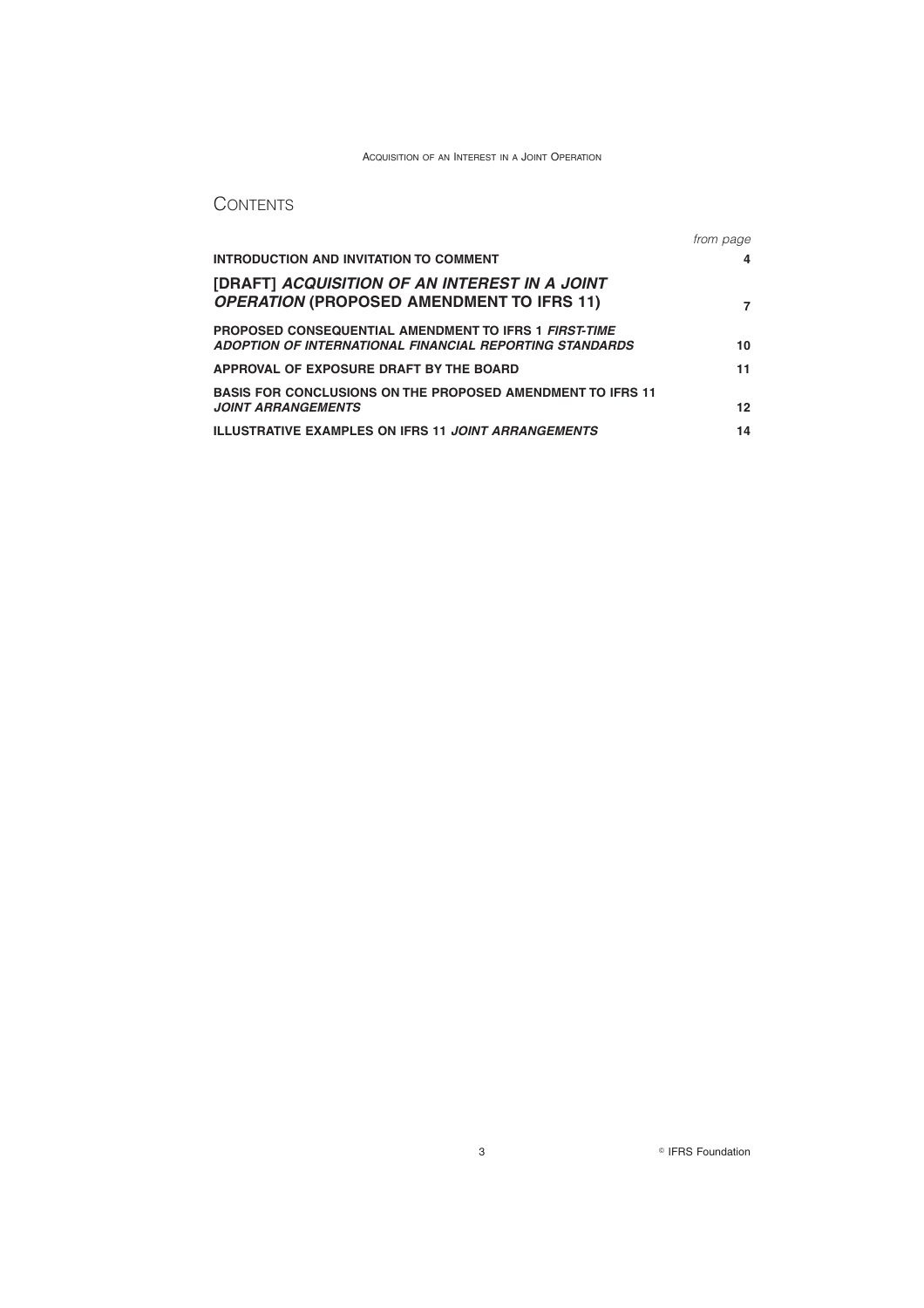# **CONTENTS**

|                                                                                                                         | from page |
|-------------------------------------------------------------------------------------------------------------------------|-----------|
| <b>INTRODUCTION AND INVITATION TO COMMENT</b>                                                                           | 4         |
| [DRAFT] ACQUISITION OF AN INTEREST IN A JOINT<br><b>OPERATION (PROPOSED AMENDMENT TO IFRS 11)</b>                       |           |
| <b>PROPOSED CONSEQUENTIAL AMENDMENT TO IFRS 1 FIRST-TIME</b><br>ADOPTION OF INTERNATIONAL FINANCIAL REPORTING STANDARDS | 10        |
| APPROVAL OF EXPOSURE DRAFT BY THE BOARD                                                                                 | 11        |
| <b>BASIS FOR CONCLUSIONS ON THE PROPOSED AMENDMENT TO IFRS 11</b><br><b>JOINT ARRANGEMENTS</b>                          | 12        |
| <b>ILLUSTRATIVE EXAMPLES ON IFRS 11 JOINT ARRANGEMENTS</b>                                                              | 14        |

3 **IFRS** Foundation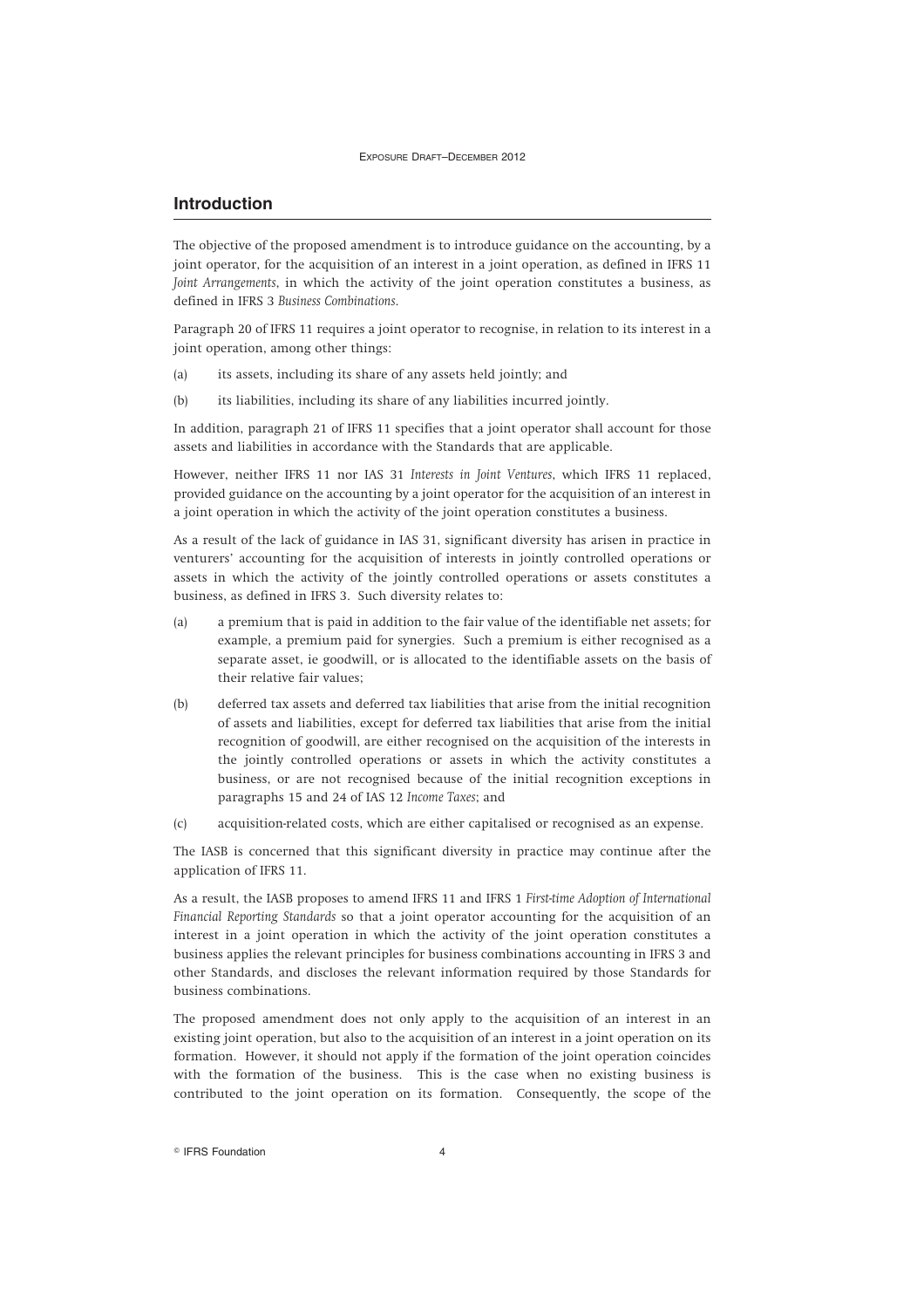### **Introduction**

The objective of the proposed amendment is to introduce guidance on the accounting, by a joint operator, for the acquisition of an interest in a joint operation, as defined in IFRS 11 *Joint Arrangements*, in which the activity of the joint operation constitutes a business, as defined in IFRS 3 *Business Combinations*.

Paragraph 20 of IFRS 11 requires a joint operator to recognise, in relation to its interest in a joint operation, among other things:

- (a) its assets, including its share of any assets held jointly; and
- (b) its liabilities, including its share of any liabilities incurred jointly.

In addition, paragraph 21 of IFRS 11 specifies that a joint operator shall account for those assets and liabilities in accordance with the Standards that are applicable.

However, neither IFRS 11 nor IAS 31 *Interests in Joint Ventures*, which IFRS 11 replaced, provided guidance on the accounting by a joint operator for the acquisition of an interest in a joint operation in which the activity of the joint operation constitutes a business.

As a result of the lack of guidance in IAS 31, significant diversity has arisen in practice in venturers' accounting for the acquisition of interests in jointly controlled operations or assets in which the activity of the jointly controlled operations or assets constitutes a business, as defined in IFRS 3. Such diversity relates to:

- (a) a premium that is paid in addition to the fair value of the identifiable net assets; for example, a premium paid for synergies. Such a premium is either recognised as a separate asset, ie goodwill, or is allocated to the identifiable assets on the basis of their relative fair values;
- (b) deferred tax assets and deferred tax liabilities that arise from the initial recognition of assets and liabilities, except for deferred tax liabilities that arise from the initial recognition of goodwill, are either recognised on the acquisition of the interests in the jointly controlled operations or assets in which the activity constitutes a business, or are not recognised because of the initial recognition exceptions in paragraphs 15 and 24 of IAS 12 *Income Taxes*; and
- (c) acquisition-related costs, which are either capitalised or recognised as an expense.

The IASB is concerned that this significant diversity in practice may continue after the application of IFRS 11.

As a result, the IASB proposes to amend IFRS 11 and IFRS 1 *First-time Adoption of International Financial Reporting Standards* so that a joint operator accounting for the acquisition of an interest in a joint operation in which the activity of the joint operation constitutes a business applies the relevant principles for business combinations accounting in IFRS 3 and other Standards, and discloses the relevant information required by those Standards for business combinations.

The proposed amendment does not only apply to the acquisition of an interest in an existing joint operation, but also to the acquisition of an interest in a joint operation on its formation. However, it should not apply if the formation of the joint operation coincides with the formation of the business. This is the case when no existing business is contributed to the joint operation on its formation. Consequently, the scope of the

 $\degree$  IFRS Foundation  $4$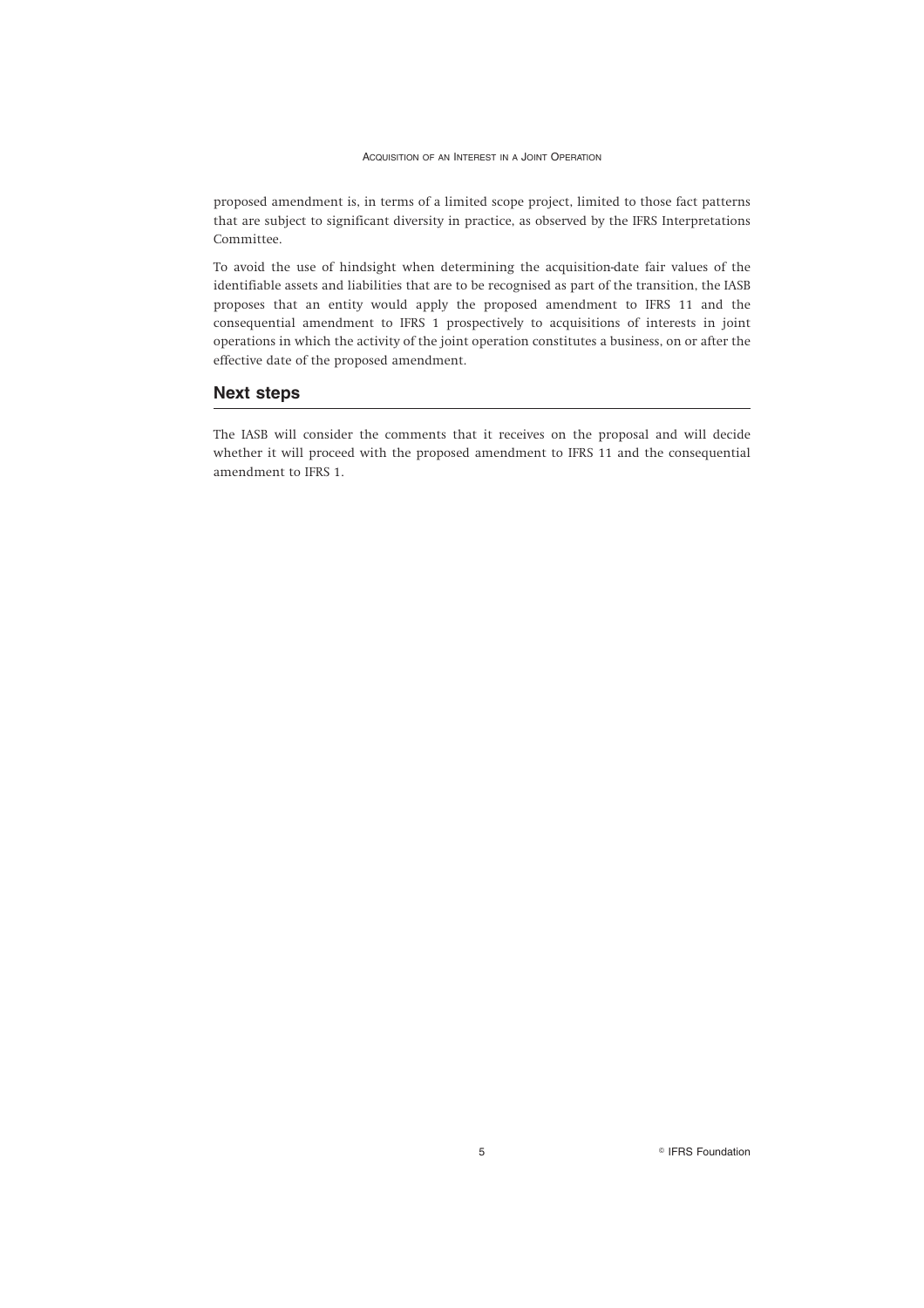proposed amendment is, in terms of a limited scope project, limited to those fact patterns that are subject to significant diversity in practice, as observed by the IFRS Interpretations Committee.

To avoid the use of hindsight when determining the acquisition-date fair values of the identifiable assets and liabilities that are to be recognised as part of the transition, the IASB proposes that an entity would apply the proposed amendment to IFRS 11 and the consequential amendment to IFRS 1 prospectively to acquisitions of interests in joint operations in which the activity of the joint operation constitutes a business, on or after the effective date of the proposed amendment.

#### **Next steps**

The IASB will consider the comments that it receives on the proposal and will decide whether it will proceed with the proposed amendment to IFRS 11 and the consequential amendment to IFRS 1.

5 **IFRS** Foundation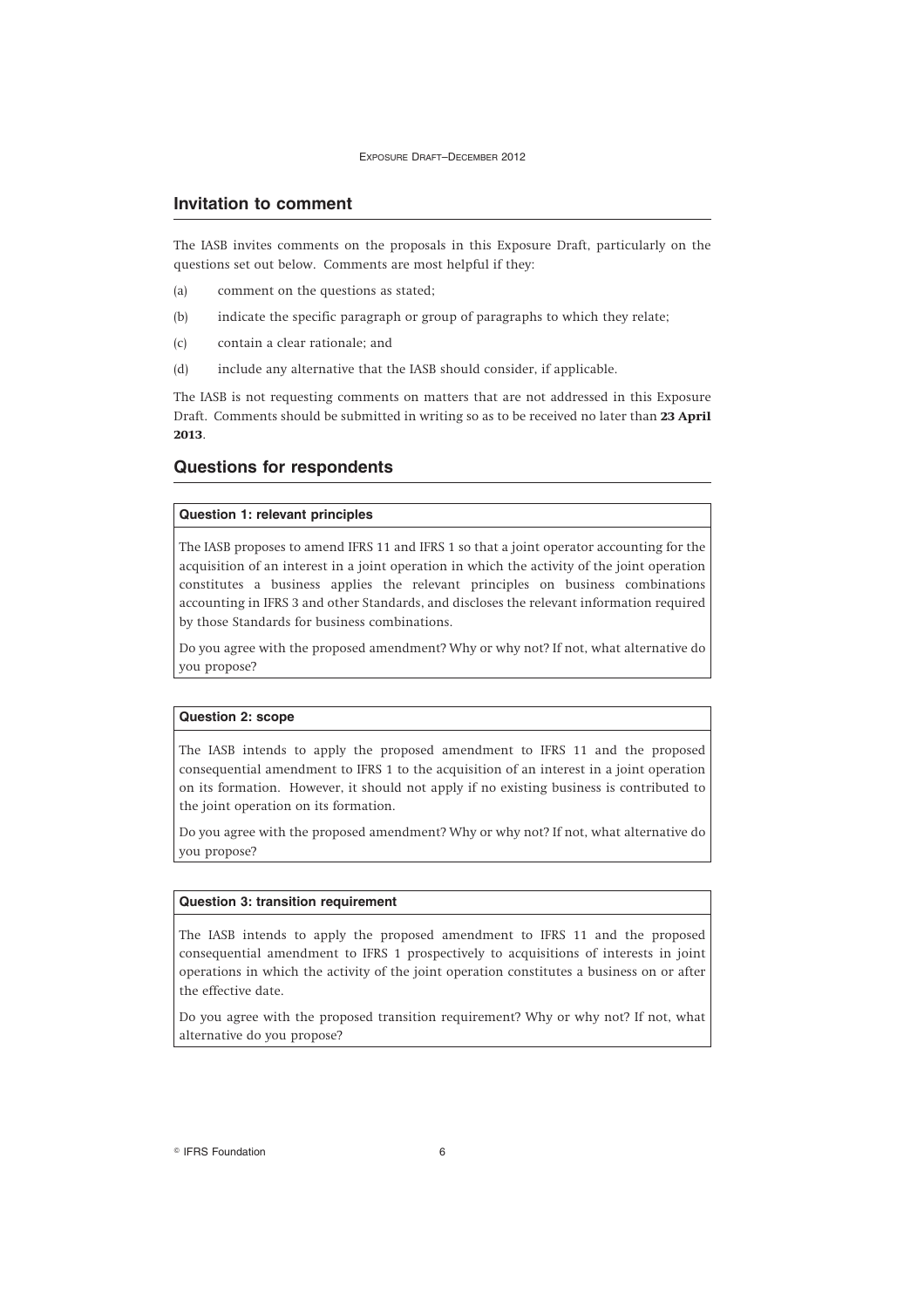#### **Invitation to comment**

The IASB invites comments on the proposals in this Exposure Draft, particularly on the questions set out below. Comments are most helpful if they:

- (a) comment on the questions as stated;
- (b) indicate the specific paragraph or group of paragraphs to which they relate;
- (c) contain a clear rationale; and
- (d) include any alternative that the IASB should consider, if applicable.

The IASB is not requesting comments on matters that are not addressed in this Exposure Draft. Comments should be submitted in writing so as to be received no later than **23 April 2013**.

# **Questions for respondents**

#### **Question 1: relevant principles**

The IASB proposes to amend IFRS 11 and IFRS 1 so that a joint operator accounting for the acquisition of an interest in a joint operation in which the activity of the joint operation constitutes a business applies the relevant principles on business combinations accounting in IFRS 3 and other Standards, and discloses the relevant information required by those Standards for business combinations.

Do you agree with the proposed amendment? Why or why not? If not, what alternative do you propose?

#### **Question 2: scope**

The IASB intends to apply the proposed amendment to IFRS 11 and the proposed consequential amendment to IFRS 1 to the acquisition of an interest in a joint operation on its formation. However, it should not apply if no existing business is contributed to the joint operation on its formation.

Do you agree with the proposed amendment? Why or why not? If not, what alternative do you propose?

#### **Question 3: transition requirement**

The IASB intends to apply the proposed amendment to IFRS 11 and the proposed consequential amendment to IFRS 1 prospectively to acquisitions of interests in joint operations in which the activity of the joint operation constitutes a business on or after the effective date.

Do you agree with the proposed transition requirement? Why or why not? If not, what alternative do you propose?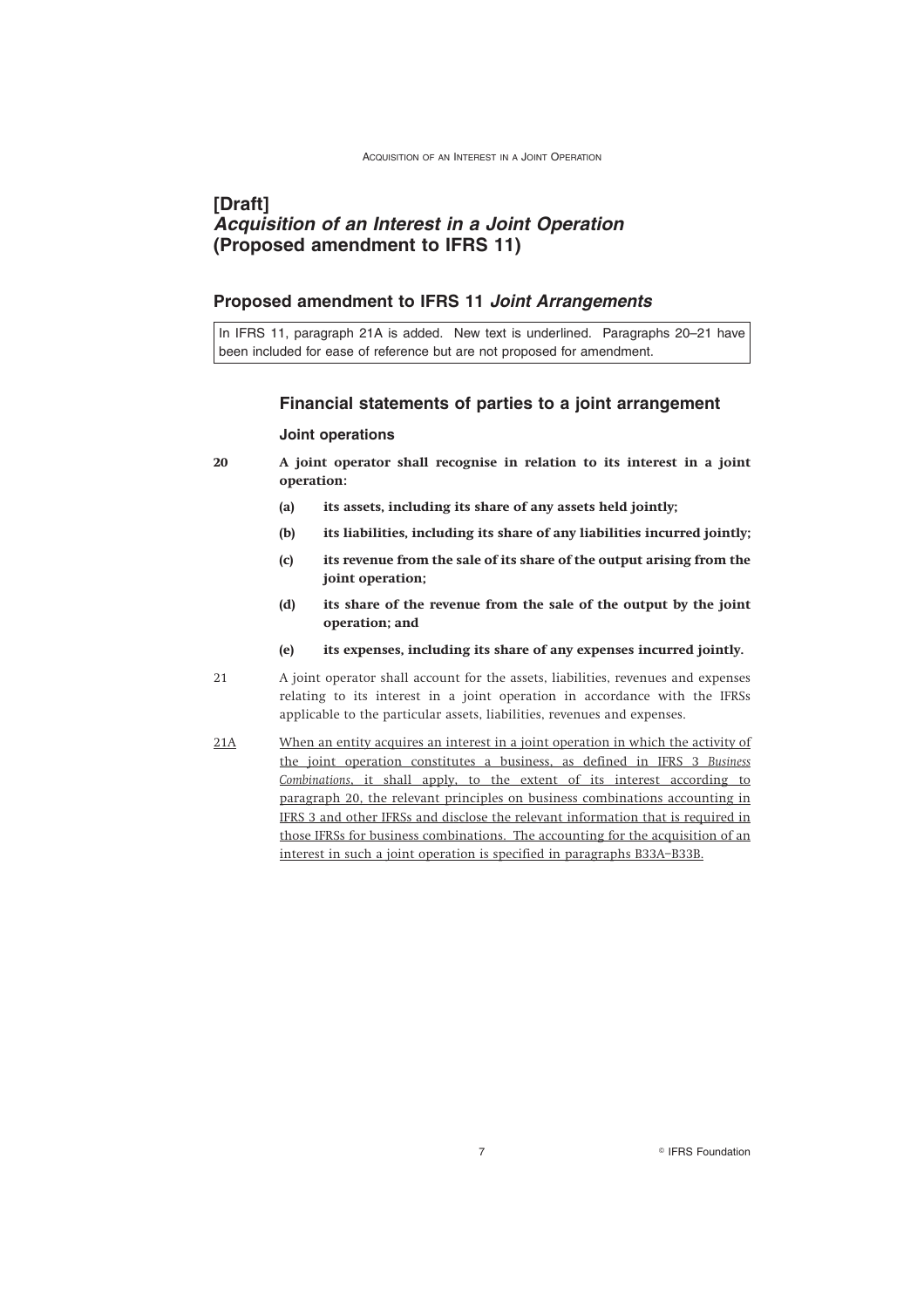# **[Draft]** *Acquisition of an Interest in a Joint Operation* **(Proposed amendment to IFRS 11)**

#### **Proposed amendment to IFRS 11** *Joint Arrangements*

In IFRS 11, paragraph 21A is added. New text is underlined. Paragraphs 20–21 have been included for ease of reference but are not proposed for amendment.

#### **Financial statements of parties to a joint arrangement**

#### **Joint operations**

- **20 A joint operator shall recognise in relation to its interest in a joint operation:**
	- **(a) its assets, including its share of any assets held jointly;**
	- **(b) its liabilities, including its share of any liabilities incurred jointly;**
	- **(c) its revenue from the sale of its share of the output arising from the joint operation;**
	- **(d) its share of the revenue from the sale of the output by the joint operation; and**
	- **(e) its expenses, including its share of any expenses incurred jointly.**
- 21 A joint operator shall account for the assets, liabilities, revenues and expenses relating to its interest in a joint operation in accordance with the IFRSs applicable to the particular assets, liabilities, revenues and expenses.
- 21A When an entity acquires an interest in a joint operation in which the activity of the joint operation constitutes a business, as defined in IFRS 3 *Business Combinations*, it shall apply, to the extent of its interest according to paragraph 20, the relevant principles on business combinations accounting in IFRS 3 and other IFRSs and disclose the relevant information that is required in those IFRSs for business combinations. The accounting for the acquisition of an interest in such a joint operation is specified in paragraphs B33A–B33B.

7 **IFRS** Foundation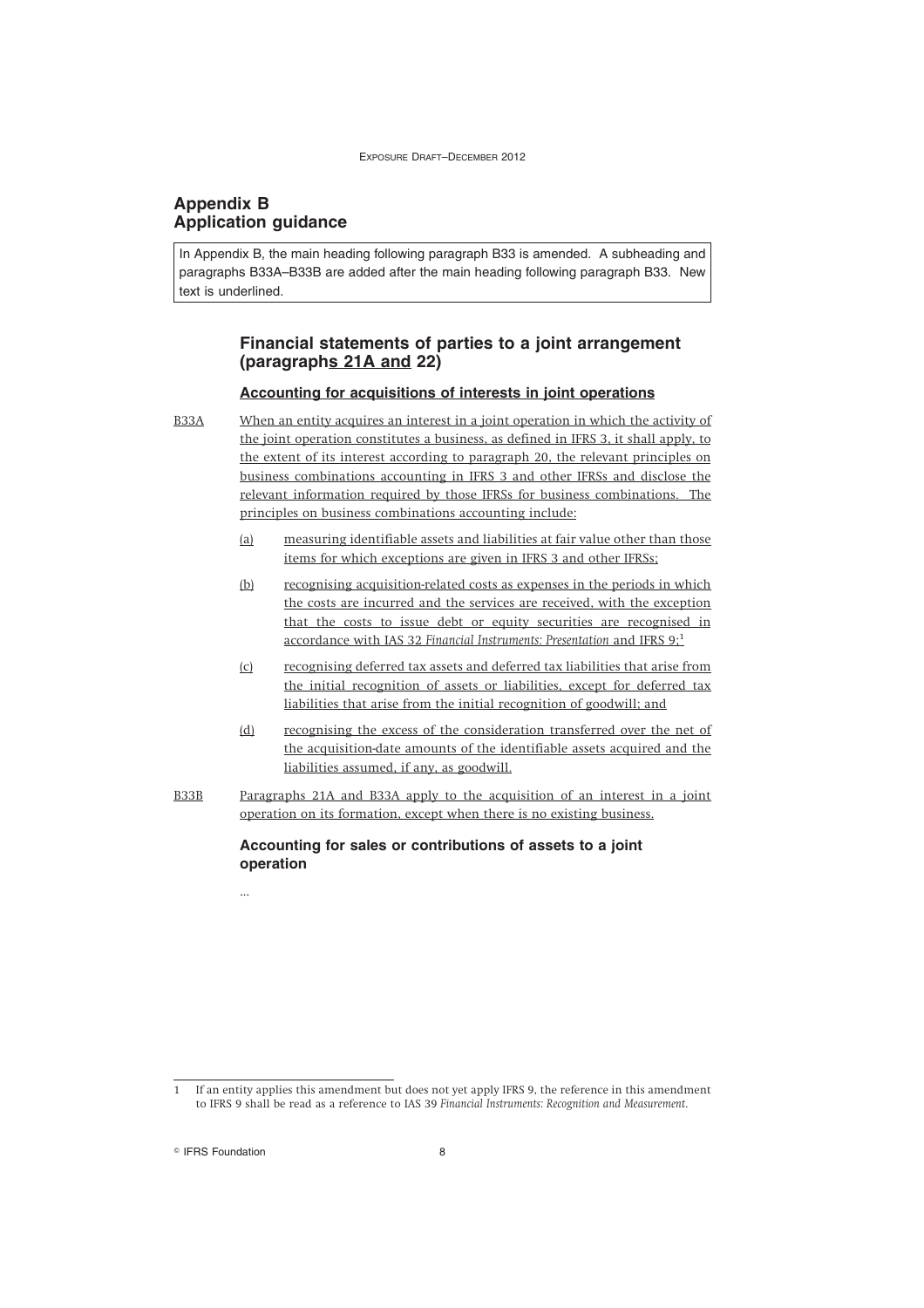# **Appendix B Application guidance**

In Appendix B, the main heading following paragraph B33 is amended. A subheading and paragraphs B33A–B33B are added after the main heading following paragraph B33. New text is underlined.

# **Financial statements of parties to a joint arrangement (paragraphs 21A and 22)**

#### **Accounting for acquisitions of interests in joint operations**

B33A When an entity acquires an interest in a joint operation in which the activity of the joint operation constitutes a business, as defined in IFRS 3, it shall apply, to the extent of its interest according to paragraph 20, the relevant principles on business combinations accounting in IFRS 3 and other IFRSs and disclose the relevant information required by those IFRSs for business combinations. The principles on business combinations accounting include:

- (a) measuring identifiable assets and liabilities at fair value other than those items for which exceptions are given in IFRS 3 and other IFRSs;
- (b) recognising acquisition-related costs as expenses in the periods in which the costs are incurred and the services are received, with the exception that the costs to issue debt or equity securities are recognised in accordance with IAS 32 *Financial Instruments: Presentation* and IFRS 9;<sup>1</sup>
- (c) recognising deferred tax assets and deferred tax liabilities that arise from the initial recognition of assets or liabilities, except for deferred tax liabilities that arise from the initial recognition of goodwill; and
- (d) recognising the excess of the consideration transferred over the net of the acquisition-date amounts of the identifiable assets acquired and the liabilities assumed, if any, as goodwill.
- B33B Paragraphs 21A and B33A apply to the acquisition of an interest in a joint operation on its formation, except when there is no existing business.

**Accounting for sales or contributions of assets to a joint operation**

If an entity applies this amendment but does not yet apply IFRS 9, the reference in this amendment to IFRS 9 shall be read as a reference to IAS 39 *Financial Instruments: Recognition and Measurement*.

<sup>©</sup> IFRS Foundation 8

...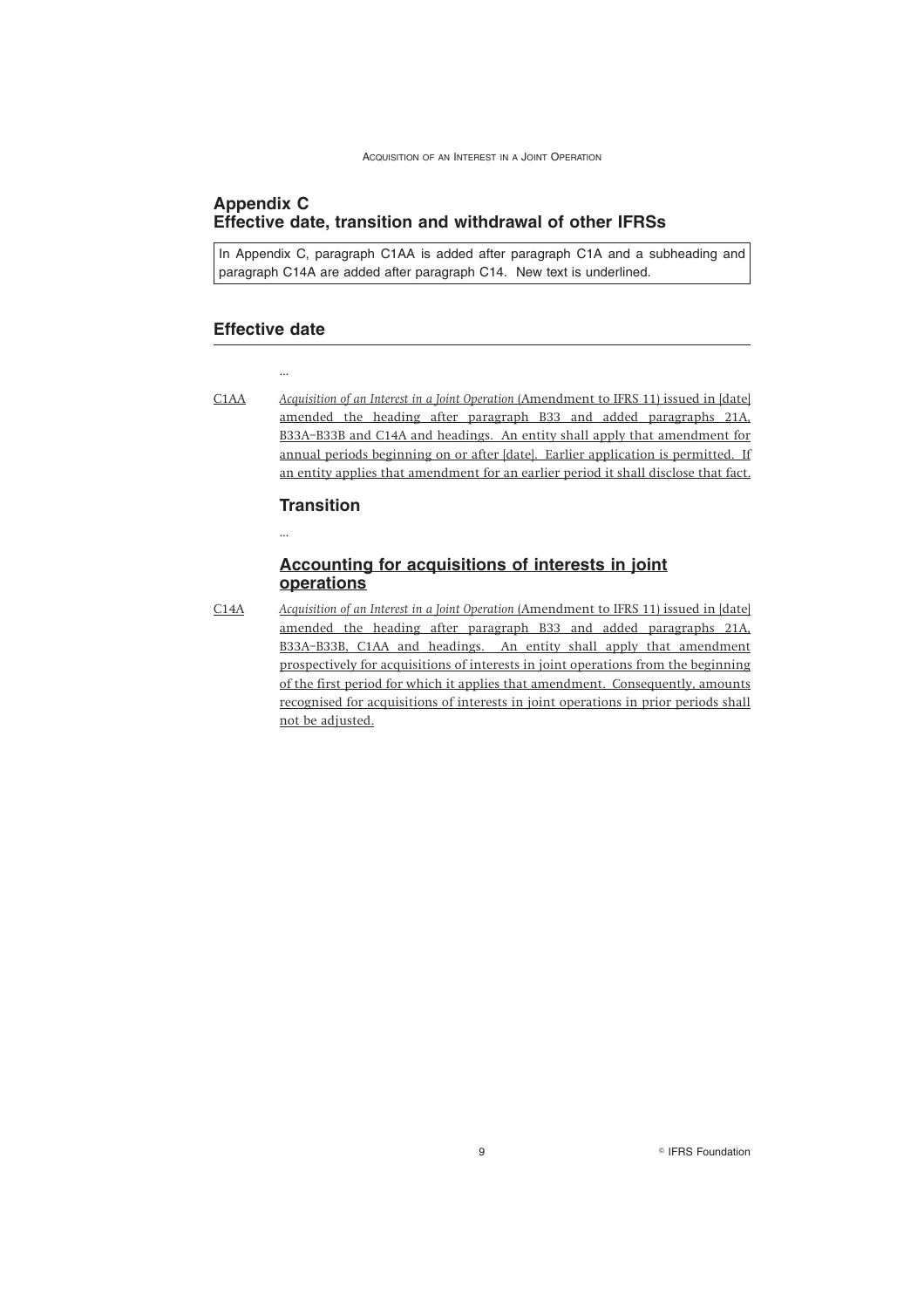# **Appendix C Effective date, transition and withdrawal of other IFRSs**

In Appendix C, paragraph C1AA is added after paragraph C1A and a subheading and paragraph C14A are added after paragraph C14. New text is underlined.

#### **Effective date**

...

...

C1AA *Acquisition of an Interest in a Joint Operation* (Amendment to IFRS 11) issued in [date] amended the heading after paragraph B33 and added paragraphs 21A, B33A–B33B and C14A and headings. An entity shall apply that amendment for annual periods beginning on or after [date]. Earlier application is permitted. If an entity applies that amendment for an earlier period it shall disclose that fact.

#### **Transition**

# **Accounting for acquisitions of interests in joint operations**

C14A *Acquisition of an Interest in a Joint Operation* (Amendment to IFRS 11) issued in [date] amended the heading after paragraph B33 and added paragraphs 21A, B33A–B33B, C1AA and headings. An entity shall apply that amendment prospectively for acquisitions of interests in joint operations from the beginning of the first period for which it applies that amendment. Consequently, amounts recognised for acquisitions of interests in joint operations in prior periods shall not be adjusted.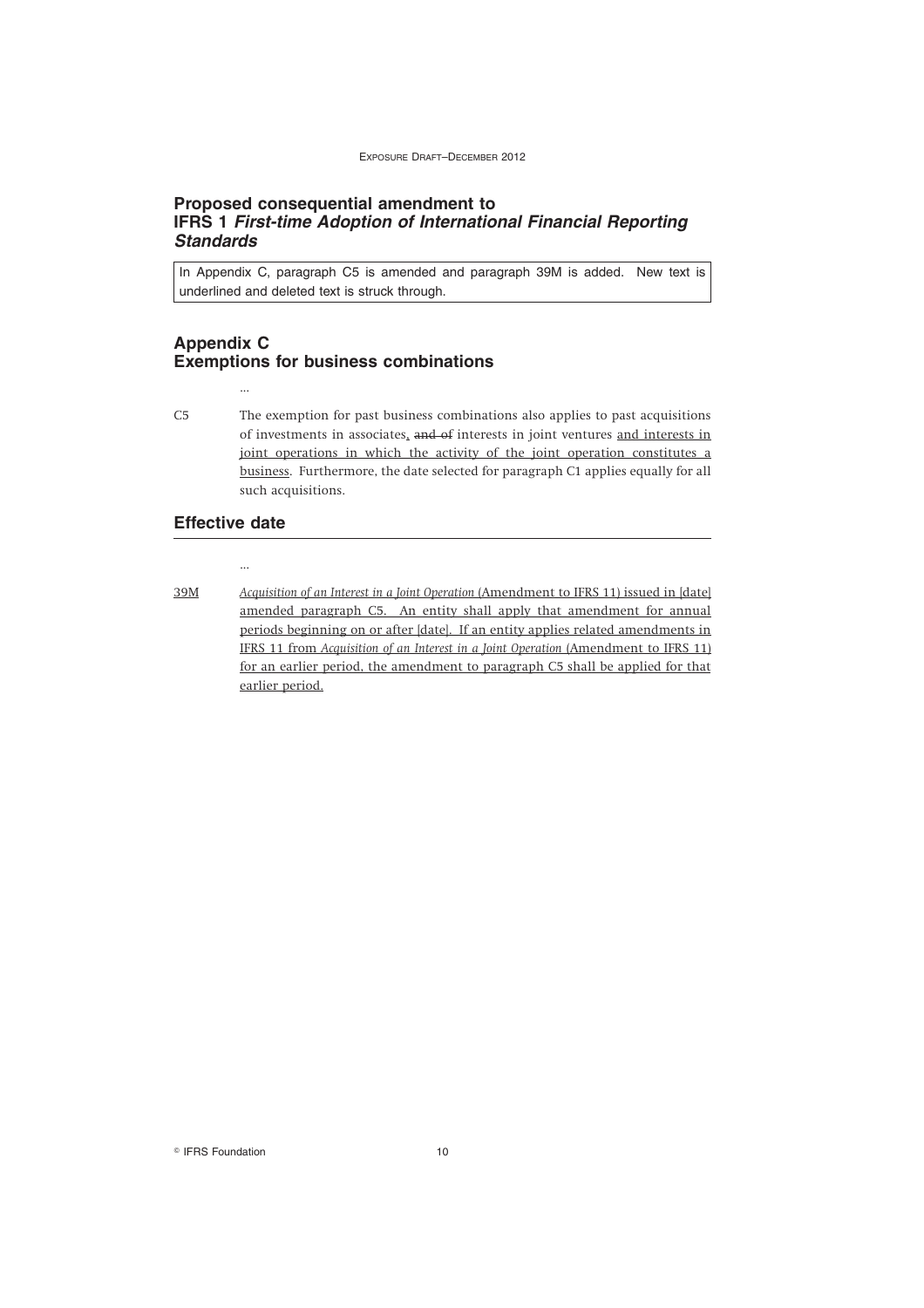#### **Proposed consequential amendment to IFRS 1** *First-time Adoption of International Financial Reporting Standards*

In Appendix C, paragraph C5 is amended and paragraph 39M is added. New text is underlined and deleted text is struck through.

## **Appendix C Exemptions for business combinations**

C5 The exemption for past business combinations also applies to past acquisitions of investments in associates, and of interests in joint ventures and interests in joint operations in which the activity of the joint operation constitutes a business. Furthermore, the date selected for paragraph C1 applies equally for all such acquisitions.

#### **Effective date**

...

...

39M *Acquisition of an Interest in a Joint Operation* (Amendment to IFRS 11) issued in [date] amended paragraph C5. An entity shall apply that amendment for annual periods beginning on or after [date]. If an entity applies related amendments in IFRS 11 from *Acquisition of an Interest in a Joint Operation* (Amendment to IFRS 11) for an earlier period, the amendment to paragraph C5 shall be applied for that earlier period.

<sup>©</sup> IFRS Foundation 10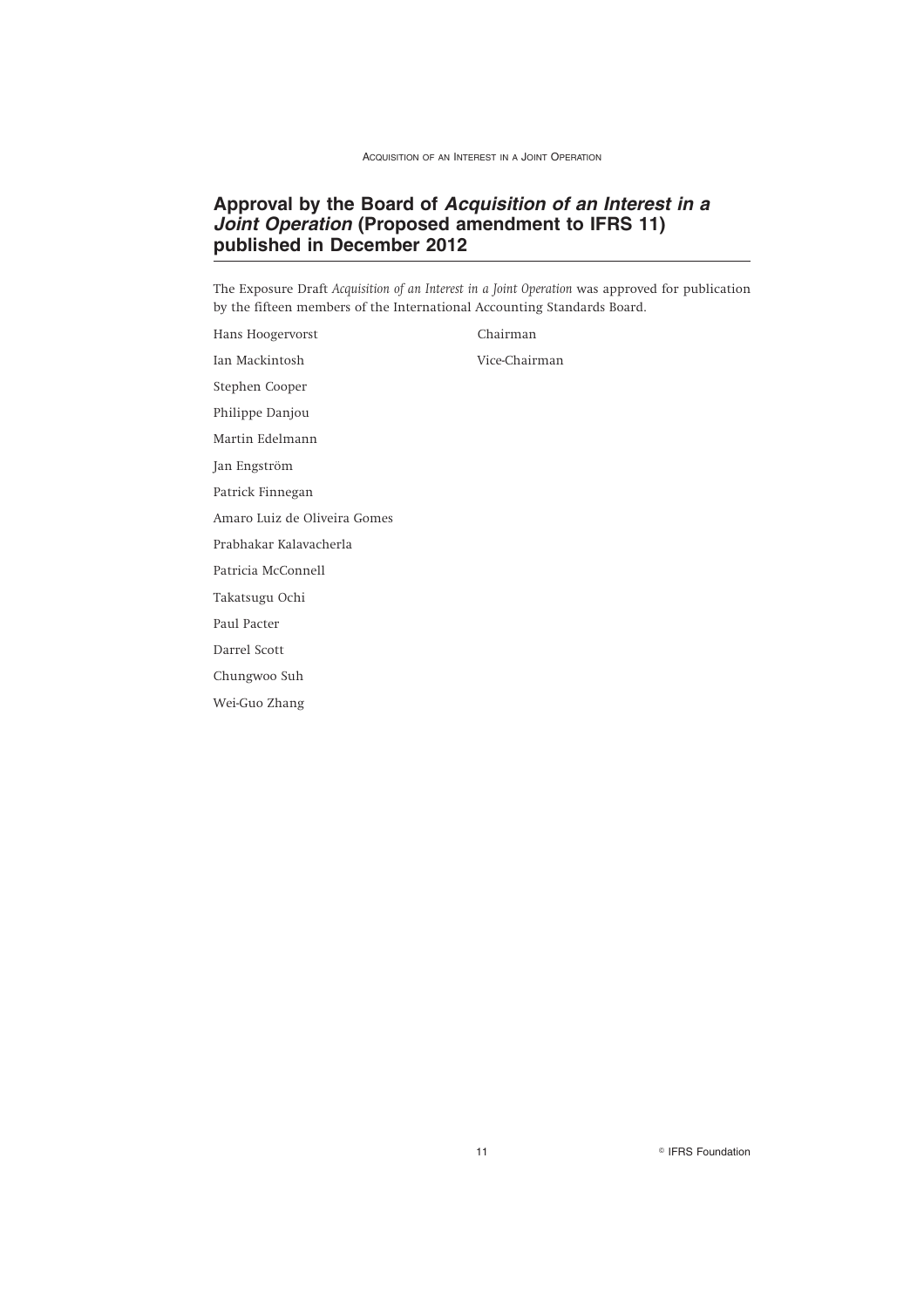# **Approval by the Board of** *Acquisition of an Interest in a Joint Operation* **(Proposed amendment to IFRS 11) published in December 2012**

The Exposure Draft *Acquisition of an Interest in a Joint Operation* was approved for publication by the fifteen members of the International Accounting Standards Board.

Hans Hoogervorst Chairman Ian Mackintosh Vice-Chairman Stephen Cooper Philippe Danjou Martin Edelmann Jan Engström Patrick Finnegan Amaro Luiz de Oliveira Gomes Prabhakar Kalavacherla Patricia McConnell Takatsugu Ochi Paul Pacter Darrel Scott Chungwoo Suh Wei-Guo Zhang

11 **Internation IFRS** Foundation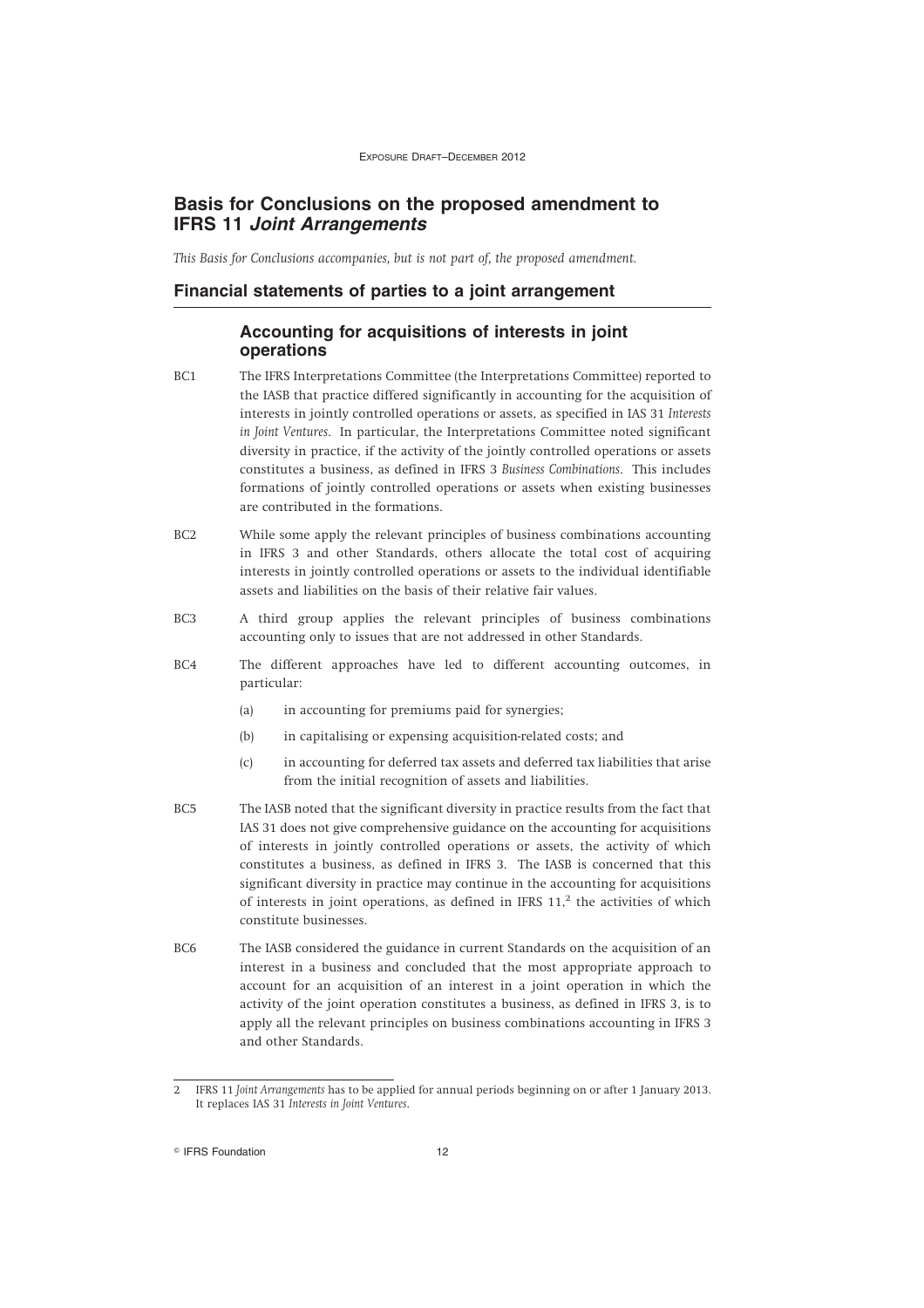# **Basis for Conclusions on the proposed amendment to IFRS 11** *Joint Arrangements*

*This Basis for Conclusions accompanies, but is not part of, the proposed amendment.*

#### **Financial statements of parties to a joint arrangement**

# **Accounting for acquisitions of interests in joint operations**

- BC1 The IFRS Interpretations Committee (the Interpretations Committee) reported to the IASB that practice differed significantly in accounting for the acquisition of interests in jointly controlled operations or assets, as specified in IAS 31 *Interests in Joint Ventures*. In particular, the Interpretations Committee noted significant diversity in practice, if the activity of the jointly controlled operations or assets constitutes a business, as defined in IFRS 3 *Business Combinations*. This includes formations of jointly controlled operations or assets when existing businesses are contributed in the formations.
- BC2 While some apply the relevant principles of business combinations accounting in IFRS 3 and other Standards, others allocate the total cost of acquiring interests in jointly controlled operations or assets to the individual identifiable assets and liabilities on the basis of their relative fair values.
- BC3 A third group applies the relevant principles of business combinations accounting only to issues that are not addressed in other Standards.
- BC4 The different approaches have led to different accounting outcomes, in particular:
	- (a) in accounting for premiums paid for synergies;
	- (b) in capitalising or expensing acquisition-related costs; and
	- (c) in accounting for deferred tax assets and deferred tax liabilities that arise from the initial recognition of assets and liabilities.
- BC5 The IASB noted that the significant diversity in practice results from the fact that IAS 31 does not give comprehensive guidance on the accounting for acquisitions of interests in jointly controlled operations or assets, the activity of which constitutes a business, as defined in IFRS 3. The IASB is concerned that this significant diversity in practice may continue in the accounting for acquisitions of interests in joint operations, as defined in IFRS  $11$ ,<sup>2</sup> the activities of which constitute businesses.
- BC6 The IASB considered the guidance in current Standards on the acquisition of an interest in a business and concluded that the most appropriate approach to account for an acquisition of an interest in a joint operation in which the activity of the joint operation constitutes a business, as defined in IFRS 3, is to apply all the relevant principles on business combinations accounting in IFRS 3 and other Standards.

<sup>©</sup> IFRS Foundation 12

<sup>2</sup> IFRS 11 *Joint Arrangements* has to be applied for annual periods beginning on or after 1 January 2013. It replaces IAS 31 *Interests in Joint Ventures*.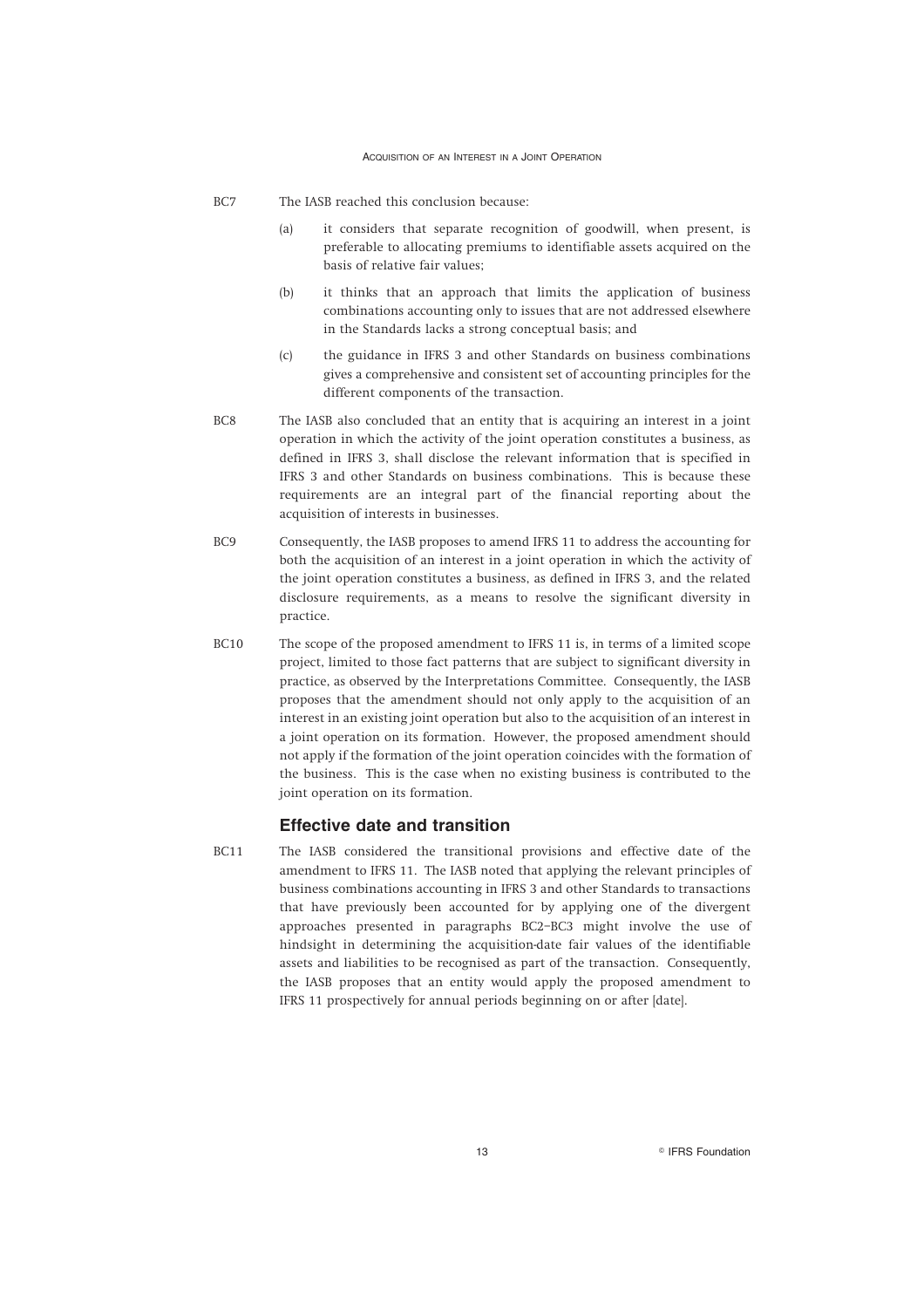- BC7 The IASB reached this conclusion because:
	- (a) it considers that separate recognition of goodwill, when present, is preferable to allocating premiums to identifiable assets acquired on the basis of relative fair values;
	- (b) it thinks that an approach that limits the application of business combinations accounting only to issues that are not addressed elsewhere in the Standards lacks a strong conceptual basis; and
	- (c) the guidance in IFRS 3 and other Standards on business combinations gives a comprehensive and consistent set of accounting principles for the different components of the transaction.
- BC8 The IASB also concluded that an entity that is acquiring an interest in a joint operation in which the activity of the joint operation constitutes a business, as defined in IFRS 3, shall disclose the relevant information that is specified in IFRS 3 and other Standards on business combinations. This is because these requirements are an integral part of the financial reporting about the acquisition of interests in businesses.
- BC9 Consequently, the IASB proposes to amend IFRS 11 to address the accounting for both the acquisition of an interest in a joint operation in which the activity of the joint operation constitutes a business, as defined in IFRS 3, and the related disclosure requirements, as a means to resolve the significant diversity in practice.
- BC10 The scope of the proposed amendment to IFRS 11 is, in terms of a limited scope project, limited to those fact patterns that are subject to significant diversity in practice, as observed by the Interpretations Committee. Consequently, the IASB proposes that the amendment should not only apply to the acquisition of an interest in an existing joint operation but also to the acquisition of an interest in a joint operation on its formation. However, the proposed amendment should not apply if the formation of the joint operation coincides with the formation of the business. This is the case when no existing business is contributed to the joint operation on its formation.

#### **Effective date and transition**

BC11 The IASB considered the transitional provisions and effective date of the amendment to IFRS 11. The IASB noted that applying the relevant principles of business combinations accounting in IFRS 3 and other Standards to transactions that have previously been accounted for by applying one of the divergent approaches presented in paragraphs BC2–BC3 might involve the use of hindsight in determining the acquisition-date fair values of the identifiable assets and liabilities to be recognised as part of the transaction. Consequently, the IASB proposes that an entity would apply the proposed amendment to IFRS 11 prospectively for annual periods beginning on or after [date].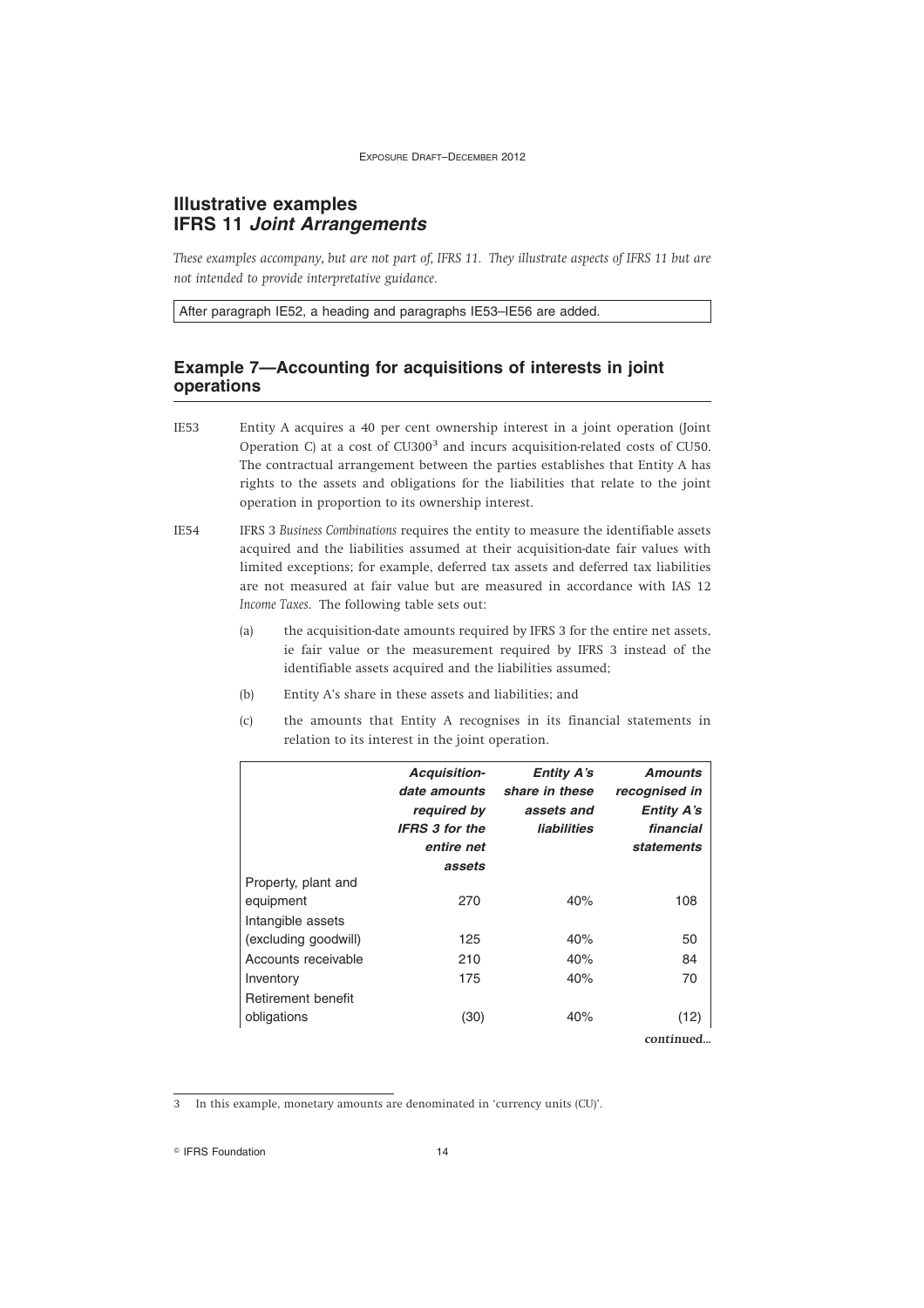# **Illustrative examples IFRS 11** *Joint Arrangements*

*These examples accompany, but are not part of, IFRS 11. They illustrate aspects of IFRS 11 but are not intended to provide interpretative guidance.*

After paragraph IE52, a heading and paragraphs IE53–IE56 are added.

# **Example 7—Accounting for acquisitions of interests in joint operations**

IE53 Entity A acquires a 40 per cent ownership interest in a joint operation (Joint Operation C) at a cost of  $CU300<sup>3</sup>$  and incurs acquisition-related costs of CU50. The contractual arrangement between the parties establishes that Entity A has rights to the assets and obligations for the liabilities that relate to the joint operation in proportion to its ownership interest.

IE54 IFRS 3 *Business Combinations* requires the entity to measure the identifiable assets acquired and the liabilities assumed at their acquisition-date fair values with limited exceptions; for example, deferred tax assets and deferred tax liabilities are not measured at fair value but are measured in accordance with IAS 12 *Income Taxes*. The following table sets out:

- (a) the acquisition-date amounts required by IFRS 3 for the entire net assets, ie fair value or the measurement required by IFRS 3 instead of the identifiable assets acquired and the liabilities assumed;
- (b) Entity A's share in these assets and liabilities; and
- (c) the amounts that Entity A recognises in its financial statements in relation to its interest in the joint operation.

|                                | <b>Acquisition-</b><br>date amounts<br>required by<br><b>IFRS 3 for the</b><br>entire net<br>assets | <b>Entity A's</b><br>share in these<br>assets and<br><b>liabilities</b> | <b>Amounts</b><br>recognised in<br><b>Entity A's</b><br>financial<br>statements |
|--------------------------------|-----------------------------------------------------------------------------------------------------|-------------------------------------------------------------------------|---------------------------------------------------------------------------------|
| Property, plant and            | 270                                                                                                 | 40%                                                                     | 108                                                                             |
| equipment<br>Intangible assets |                                                                                                     |                                                                         |                                                                                 |
| (excluding goodwill)           | 125                                                                                                 | 40%                                                                     | 50                                                                              |
| Accounts receivable            | 210                                                                                                 | 40%                                                                     | 84                                                                              |
| Inventory                      | 175                                                                                                 | 40%                                                                     | 70                                                                              |
| Retirement benefit             |                                                                                                     |                                                                         |                                                                                 |
| obligations                    | (30)                                                                                                | 40%                                                                     | (12)                                                                            |
|                                |                                                                                                     |                                                                         | continued.                                                                      |

3 In this example, monetary amounts are denominated in 'currency units (CU)'.

<sup>©</sup> IFRS Foundation 14